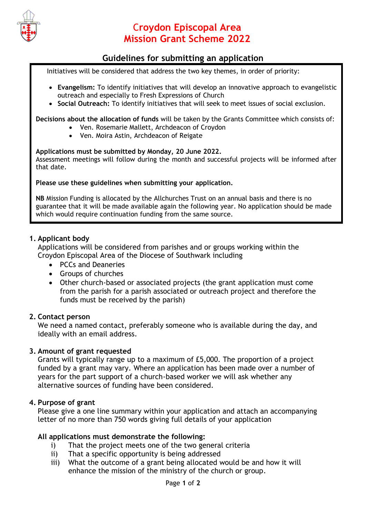

# C**roydon Episcopal Area Mission Grant Scheme 2022**

## **Guidelines for submitting an application**

Initiatives will be considered that address the two key themes, in order of priority:

- **Evangelism:** To identify initiatives that will develop an innovative approach to evangelistic outreach and especially to Fresh Expressions of Church
- **Social Outreach:** To identify initiatives that will seek to meet issues of social exclusion.

#### **Decisions about the allocation of funds** will be taken by the Grants Committee which consists of:

- Ven. Rosemarie Mallett, Archdeacon of Croydon
- Ven. Moira Astin, Archdeacon of Reigate

#### **Applications must be submitted by Monday, 20 June 2022.**

Assessment meetings will follow during the month and successful projects will be informed after that date.

**Please use these guidelines when submitting your application.**

**NB** Mission Funding is allocated by the Allchurches Trust on an annual basis and there is no guarantee that it will be made available again the following year. No application should be made which would require continuation funding from the same source.

#### **1. Applicant body**

Applications will be considered from parishes and or groups working within the Croydon Episcopal Area of the Diocese of Southwark including

- PCCs and Deaneries
- Groups of churches
- Other church-based or associated projects (the grant application must come from the parish for a parish associated or outreach project and therefore the funds must be received by the parish)

#### **2. Contact person**

We need a named contact, preferably someone who is available during the day, and ideally with an email address.

#### **3. Amount of grant requested**

Grants will typically range up to a maximum of £5,000. The proportion of a project funded by a grant may vary. Where an application has been made over a number of years for the part support of a church-based worker we will ask whether any alternative sources of funding have been considered.

#### **4. Purpose of grant**

Please give a one line summary within your application and attach an accompanying letter of no more than 750 words giving full details of your application

#### **All applications must demonstrate the following:**

- i) That the project meets one of the two general criteria
- ii) That a specific opportunity is being addressed
- iii) What the outcome of a grant being allocated would be and how it will enhance the mission of the ministry of the church or group.